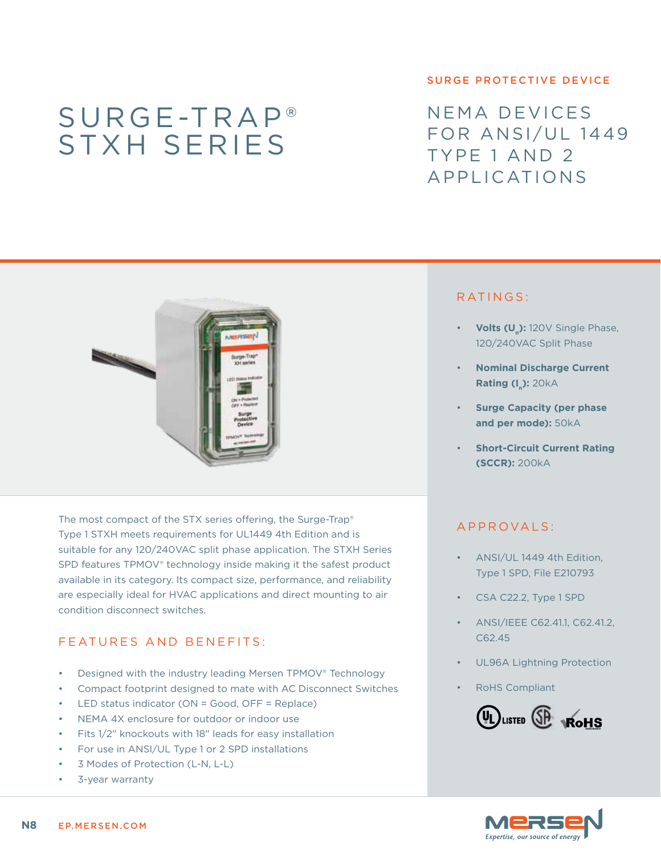# Surge-Trap® STXH series

#### surge protective device

NEMA devices FOR ANSI/UL 1449 Type 1 and 2 Applications



The most compact of the STX series offering, the Surge-Trap® Type 1 STXH meets requirements for UL1449 4th Edition and is suitable for any 120/240VAC split phase application. The STXH Series SPD features TPMOV® technology inside making it the safest product available in its category. Its compact size, performance, and reliability are especially ideal for HVAC applications and direct mounting to air condition disconnect switches.

## FEATURES AND BENEFITS:

- Designed with the industry leading Mersen TPMOV® Technology
- Compact footprint designed to mate with AC Disconnect Switches
- LED status indicator (ON = Good, OFF = Replace)
- NEMA 4X enclosure for outdoor or indoor use
- • Fits 1/2" knockouts with 18" leads for easy installation
- For use in ANSI/UL Type 1 or 2 SPD installations
- 3 Modes of Protection (L-N, L-L)
- 3-year warranty

#### RATINGS:

- Volts (U<sub>n</sub>): 120V Single Phase, 120/240VAC Split Phase
- **Nominal Discharge Current Rating (In): 20kA**
- **Surge Capacity (per phase and per mode):** 50kA
- **Short-Circuit Current Rating (SCCR):** 200kA

## a pproval s :

- ANSI/UL 1449 4th Edition, Type 1 SPD, File E210793
- CSA C22.2, Type 1 SPD
- ANSI/IEEE C62.41.1, C62.41.2, C62.45
- UL96A Lightning Protection
- RoHS Compliant